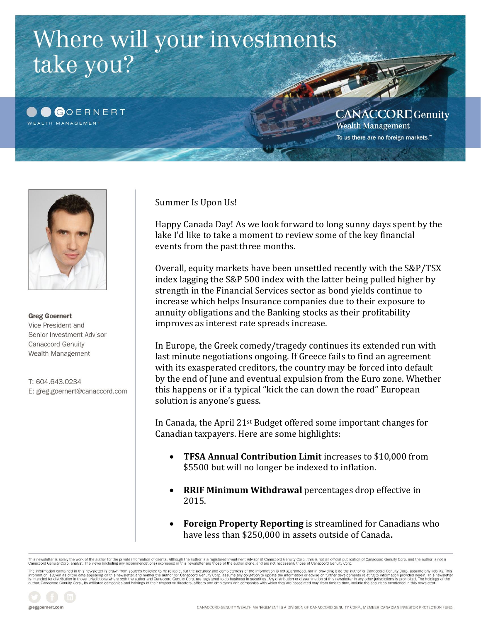



**Greg Goernert** Vice President and Senior Investment Advisor **Canaccord Genuity** Wealth Management

T: 604.643.0234 E: greg.goernert@canaccord.com Summer Is Upon Us!

Happy Canada Day! As we look forward to long sunny days spent by the lake I'd like to take a moment to review some of the key financial events from the past three months.

Overall, equity markets have been unsettled recently with the S&P/TSX index lagging the S&P 500 index with the latter being pulled higher by strength in the Financial Services sector as bond yields continue to increase which helps Insurance companies due to their exposure to annuity obligations and the Banking stocks as their profitability improves as interest rate spreads increase.

In Europe, the Greek comedy/tragedy continues its extended run with last minute negotiations ongoing. If Greece fails to find an agreement with its exasperated creditors, the country may be forced into default by the end of June and eventual expulsion from the Euro zone. Whether this happens or if a typical "kick the can down the road" European solution is anyone's guess.

In Canada, the April 21st Budget offered some important changes for Canadian taxpayers. Here are some highlights:

- **TFSA Annual Contribution Limit** increases to \$10,000 from \$5500 but will no longer be indexed to inflation.
- **RRIF Minimum Withdrawal** percentages drop effective in 2015.
- **Foreign Property Reporting** is streamlined for Canadians who have less than \$250,000 in assets outside of Canada**.**

.<br>This newsletter is solely the work of the author for the private information of clients. Although the author is a registered Investment Advisor at Canaccord Genuity Corp, this is not an official publication of Canaccord

The information contained in this newsletter is drawn from sources believed to be reliable, but the accuracy and completeness of the information is not guaranteed, nor in providing it do the author or Canaccord Genuity Cor